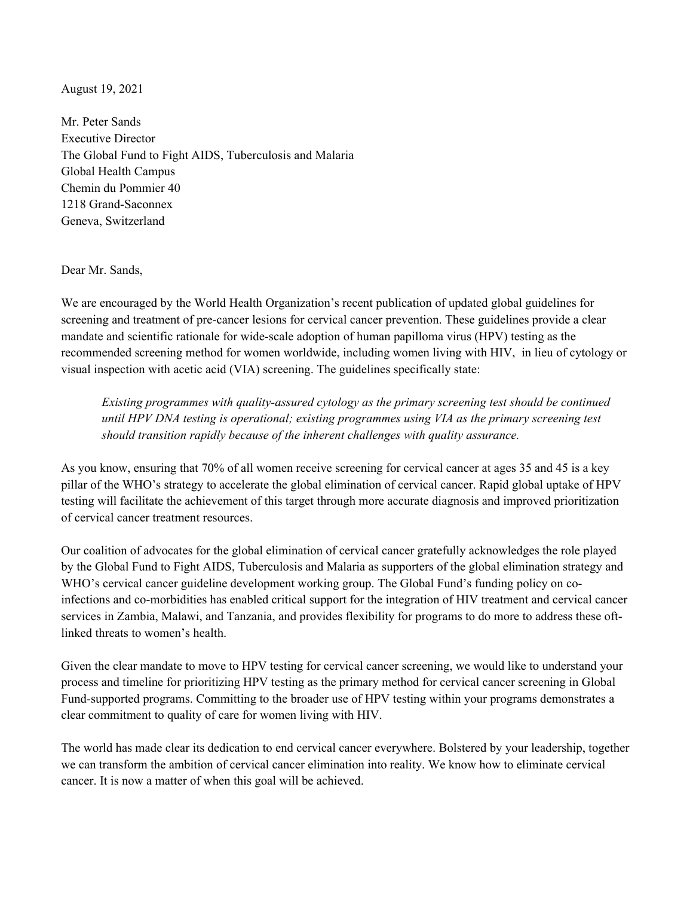August 19, 2021

Mr. Peter Sands Executive Director The Global Fund to Fight AIDS, Tuberculosis and Malaria Global Health Campus Chemin du Pommier 40 1218 Grand-Saconnex Geneva, Switzerland

Dear Mr. Sands,

We are encouraged by the World Health Organization's recent publication of updated global guidelines for screening and treatment of pre-cancer lesions for cervical cancer prevention. These guidelines provide a clear mandate and scientific rationale for wide-scale adoption of human papilloma virus (HPV) testing as the recommended screening method for women worldwide, including women living with HIV, in lieu of cytology or visual inspection with acetic acid (VIA) screening. The guidelines specifically state:

*Existing programmes with quality-assured cytology as the primary screening test should be continued until HPV DNA testing is operational; existing programmes using VIA as the primary screening test should transition rapidly because of the inherent challenges with quality assurance.* 

As you know, ensuring that 70% of all women receive screening for cervical cancer at ages 35 and 45 is a key pillar of the WHO's strategy to accelerate the global elimination of cervical cancer. Rapid global uptake of HPV testing will facilitate the achievement of this target through more accurate diagnosis and improved prioritization of cervical cancer treatment resources.

Our coalition of advocates for the global elimination of cervical cancer gratefully acknowledges the role played by the Global Fund to Fight AIDS, Tuberculosis and Malaria as supporters of the global elimination strategy and WHO's cervical cancer guideline development working group. The Global Fund's funding policy on coinfections and co-morbidities has enabled critical support for the integration of HIV treatment and cervical cancer services in Zambia, Malawi, and Tanzania, and provides flexibility for programs to do more to address these oftlinked threats to women's health.

Given the clear mandate to move to HPV testing for cervical cancer screening, we would like to understand your process and timeline for prioritizing HPV testing as the primary method for cervical cancer screening in Global Fund-supported programs. Committing to the broader use of HPV testing within your programs demonstrates a clear commitment to quality of care for women living with HIV.

The world has made clear its dedication to end cervical cancer everywhere. Bolstered by your leadership, together we can transform the ambition of cervical cancer elimination into reality. We know how to eliminate cervical cancer. It is now a matter of when this goal will be achieved.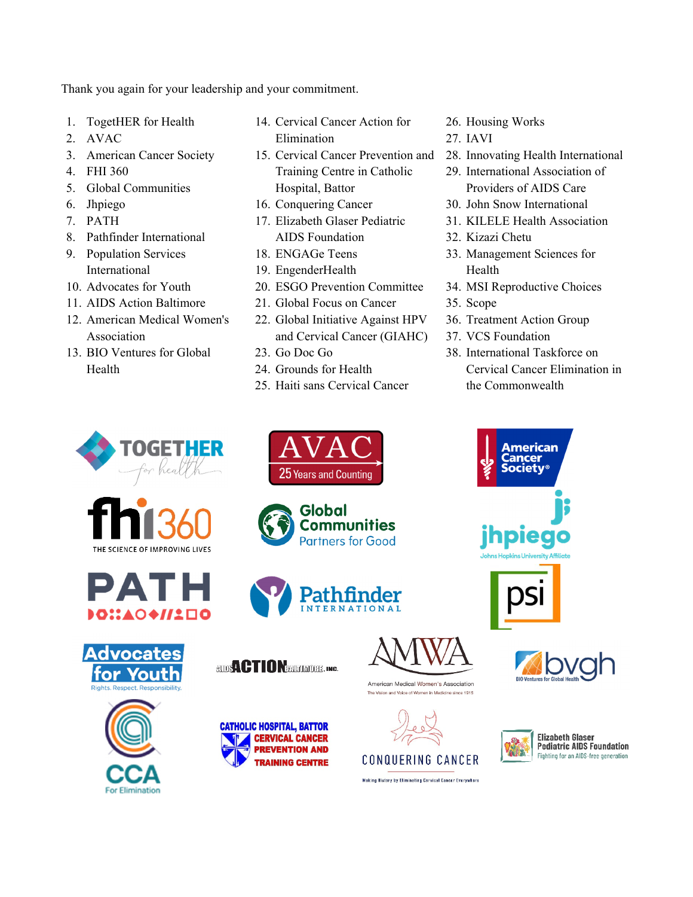Thank you again for your leadership and your commitment.

- 1. TogetHER for Health
- 2. AVAC
- 3. American Cancer Society
- 4. FHI 360
- 5. Global Communities
- 6. Jhpiego
- 7. PATH
- 8. Pathfinder International
- 9. Population Services International
- 10. Advocates for Youth
- 11. AIDS Action Baltimore
- 12. American Medical Women's Association
- 13. BIO Ventures for Global Health
- 14. Cervical Cancer Action for Elimination
- 15. Cervical Cancer Prevention and Training Centre in Catholic Hospital, Battor
- 16. Conquering Cancer
- 17. Elizabeth Glaser Pediatric AIDS Foundation
- 18. ENGAGe Teens
- 19. EngenderHealth
- 20. ESGO Prevention Committee
- 21. Global Focus on Cancer
- 22. Global Initiative Against HPV and Cervical Cancer (GIAHC)
- 23. Go Doc Go
- 24. Grounds for Health
- 25. Haiti sans Cervical Cancer
- 26. Housing Works
- 27. IAVI
- 28. Innovating Health International
- 29. International Association of Providers of AIDS Care
- 30. John Snow International
- 31. KILELE Health Association
- 32. Kizazi Chetu
- 33. Management Sciences for Health
- 34. MSI Reproductive Choices
- 35. Scope
- 36. Treatment Action Group
- 37. VCS Foundation
- 38. International Taskforce on Cervical Cancer Elimination in the Commonwealth

American ancer

**Inplea** 

















**AUDISA CTION PROTOTOBER INC.** 

**CATHOLIC HOSPITAL, BATTOR** 

**CERVICAL CANCER** 

**PREVENTION AND** 

**TRAINING CENTRE** 



American Medical Women's Association The Vision and Voice of Women in Medicine since 1915